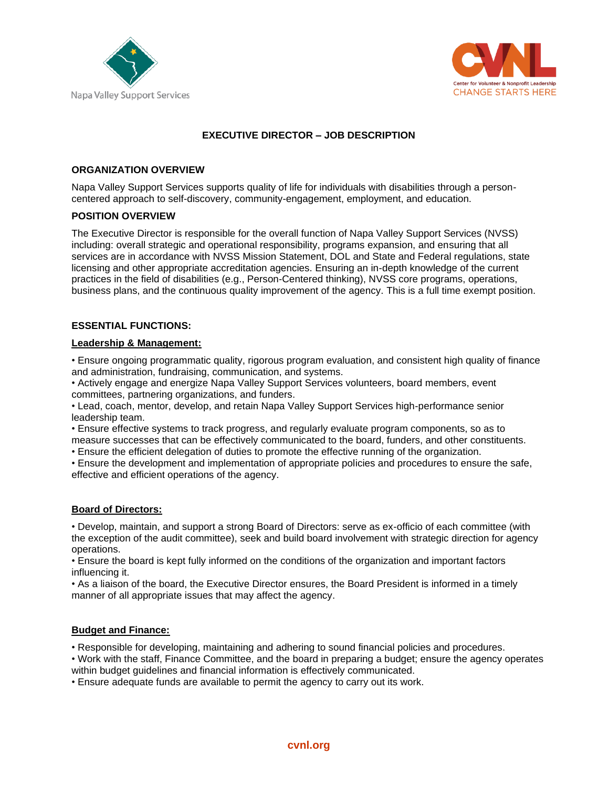



# **EXECUTIVE DIRECTOR – JOB DESCRIPTION**

### **ORGANIZATION OVERVIEW**

Napa Valley Support Services supports quality of life for individuals with disabilities through a personcentered approach to self-discovery, community-engagement, employment, and education.

### **POSITION OVERVIEW**

The Executive Director is responsible for the overall function of Napa Valley Support Services (NVSS) including: overall strategic and operational responsibility, programs expansion, and ensuring that all services are in accordance with NVSS Mission Statement, DOL and State and Federal regulations, state licensing and other appropriate accreditation agencies. Ensuring an in-depth knowledge of the current practices in the field of disabilities (e.g., Person-Centered thinking), NVSS core programs, operations, business plans, and the continuous quality improvement of the agency. This is a full time exempt position.

### **ESSENTIAL FUNCTIONS:**

### **Leadership & Management:**

• Ensure ongoing programmatic quality, rigorous program evaluation, and consistent high quality of finance and administration, fundraising, communication, and systems.

• Actively engage and energize Napa Valley Support Services volunteers, board members, event committees, partnering organizations, and funders.

• Lead, coach, mentor, develop, and retain Napa Valley Support Services high-performance senior leadership team.

• Ensure effective systems to track progress, and regularly evaluate program components, so as to measure successes that can be effectively communicated to the board, funders, and other constituents.

• Ensure the efficient delegation of duties to promote the effective running of the organization.

• Ensure the development and implementation of appropriate policies and procedures to ensure the safe, effective and efficient operations of the agency.

### **Board of Directors:**

• Develop, maintain, and support a strong Board of Directors: serve as ex-officio of each committee (with the exception of the audit committee), seek and build board involvement with strategic direction for agency operations.

• Ensure the board is kept fully informed on the conditions of the organization and important factors influencing it.

• As a liaison of the board, the Executive Director ensures, the Board President is informed in a timely manner of all appropriate issues that may affect the agency.

### **Budget and Finance:**

• Responsible for developing, maintaining and adhering to sound financial policies and procedures.

• Work with the staff, Finance Committee, and the board in preparing a budget; ensure the agency operates within budget guidelines and financial information is effectively communicated.

• Ensure adequate funds are available to permit the agency to carry out its work.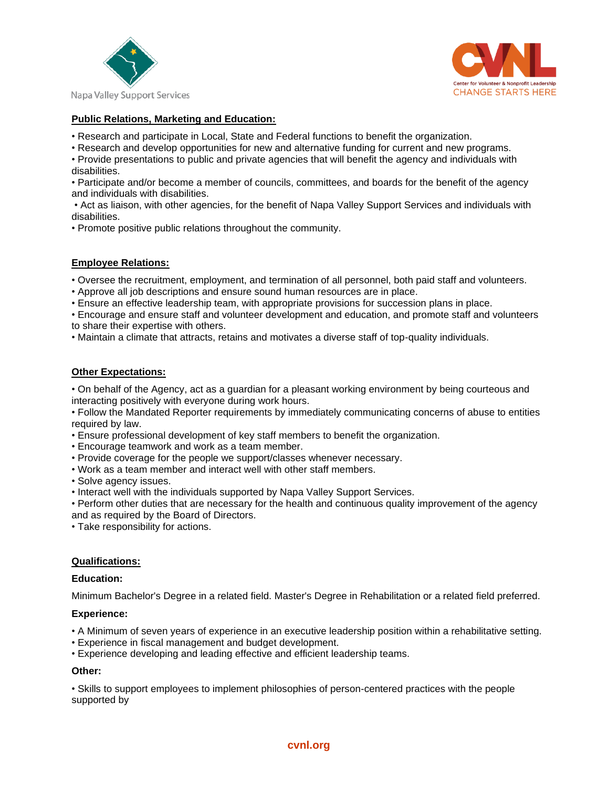



# **Public Relations, Marketing and Education:**

- Research and participate in Local, State and Federal functions to benefit the organization.
- Research and develop opportunities for new and alternative funding for current and new programs.
- Provide presentations to public and private agencies that will benefit the agency and individuals with disabilities.
- Participate and/or become a member of councils, committees, and boards for the benefit of the agency and individuals with disabilities.

• Act as liaison, with other agencies, for the benefit of Napa Valley Support Services and individuals with disabilities.

• Promote positive public relations throughout the community.

## **Employee Relations:**

- Oversee the recruitment, employment, and termination of all personnel, both paid staff and volunteers.
- Approve all job descriptions and ensure sound human resources are in place.
- Ensure an effective leadership team, with appropriate provisions for succession plans in place.
- Encourage and ensure staff and volunteer development and education, and promote staff and volunteers to share their expertise with others.
- Maintain a climate that attracts, retains and motivates a diverse staff of top-quality individuals.

### **Other Expectations:**

• On behalf of the Agency, act as a guardian for a pleasant working environment by being courteous and interacting positively with everyone during work hours.

• Follow the Mandated Reporter requirements by immediately communicating concerns of abuse to entities required by law.

- Ensure professional development of key staff members to benefit the organization.
- Encourage teamwork and work as a team member.
- Provide coverage for the people we support/classes whenever necessary.
- Work as a team member and interact well with other staff members.
- Solve agency issues.
- Interact well with the individuals supported by Napa Valley Support Services.

• Perform other duties that are necessary for the health and continuous quality improvement of the agency and as required by the Board of Directors.

• Take responsibility for actions.

### **Qualifications:**

### **Education:**

Minimum Bachelor's Degree in a related field. Master's Degree in Rehabilitation or a related field preferred.

### **Experience:**

- A Minimum of seven years of experience in an executive leadership position within a rehabilitative setting.
- Experience in fiscal management and budget development.
- Experience developing and leading effective and efficient leadership teams.

### **Other:**

• Skills to support employees to implement philosophies of person-centered practices with the people supported by

### **[cvnl.org](https://cvnl.org/)**